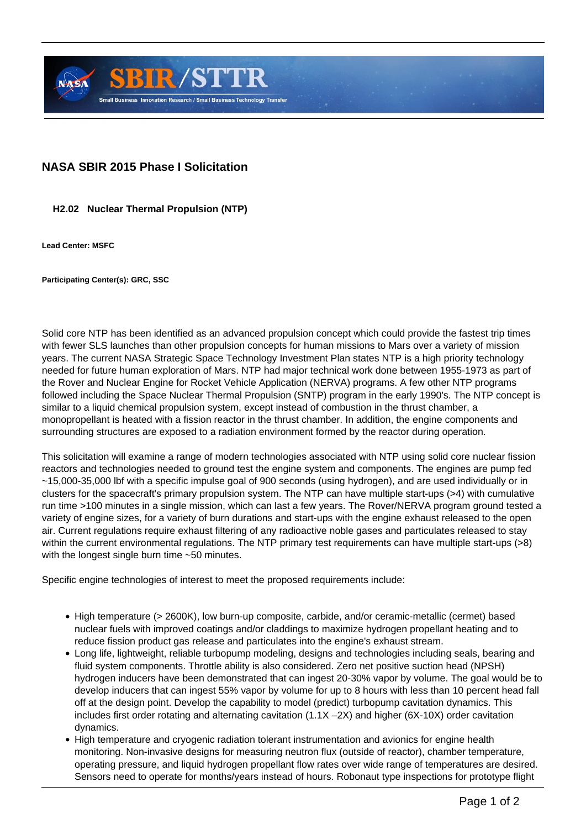

## **NASA SBIR 2015 Phase I Solicitation**

## **H2.02 Nuclear Thermal Propulsion (NTP)**

**Lead Center: MSFC**

**Participating Center(s): GRC, SSC**

Solid core NTP has been identified as an advanced propulsion concept which could provide the fastest trip times with fewer SLS launches than other propulsion concepts for human missions to Mars over a variety of mission years. The current NASA Strategic Space Technology Investment Plan states NTP is a high priority technology needed for future human exploration of Mars. NTP had major technical work done between 1955-1973 as part of the Rover and Nuclear Engine for Rocket Vehicle Application (NERVA) programs. A few other NTP programs followed including the Space Nuclear Thermal Propulsion (SNTP) program in the early 1990's. The NTP concept is similar to a liquid chemical propulsion system, except instead of combustion in the thrust chamber, a monopropellant is heated with a fission reactor in the thrust chamber. In addition, the engine components and surrounding structures are exposed to a radiation environment formed by the reactor during operation.

This solicitation will examine a range of modern technologies associated with NTP using solid core nuclear fission reactors and technologies needed to ground test the engine system and components. The engines are pump fed ~15,000-35,000 lbf with a specific impulse goal of 900 seconds (using hydrogen), and are used individually or in clusters for the spacecraft's primary propulsion system. The NTP can have multiple start-ups (>4) with cumulative run time >100 minutes in a single mission, which can last a few years. The Rover/NERVA program ground tested a variety of engine sizes, for a variety of burn durations and start-ups with the engine exhaust released to the open air. Current regulations require exhaust filtering of any radioactive noble gases and particulates released to stay within the current environmental regulations. The NTP primary test requirements can have multiple start-ups (>8) with the longest single burn time ~50 minutes.

Specific engine technologies of interest to meet the proposed requirements include:

- High temperature (> 2600K), low burn-up composite, carbide, and/or ceramic-metallic (cermet) based nuclear fuels with improved coatings and/or claddings to maximize hydrogen propellant heating and to reduce fission product gas release and particulates into the engine's exhaust stream.
- Long life, lightweight, reliable turbopump modeling, designs and technologies including seals, bearing and fluid system components. Throttle ability is also considered. Zero net positive suction head (NPSH) hydrogen inducers have been demonstrated that can ingest 20-30% vapor by volume. The goal would be to develop inducers that can ingest 55% vapor by volume for up to 8 hours with less than 10 percent head fall off at the design point. Develop the capability to model (predict) turbopump cavitation dynamics. This includes first order rotating and alternating cavitation  $(1.1X - 2X)$  and higher  $(6X - 10X)$  order cavitation dynamics.
- High temperature and cryogenic radiation tolerant instrumentation and avionics for engine health monitoring. Non-invasive designs for measuring neutron flux (outside of reactor), chamber temperature, operating pressure, and liquid hydrogen propellant flow rates over wide range of temperatures are desired. Sensors need to operate for months/years instead of hours. Robonaut type inspections for prototype flight